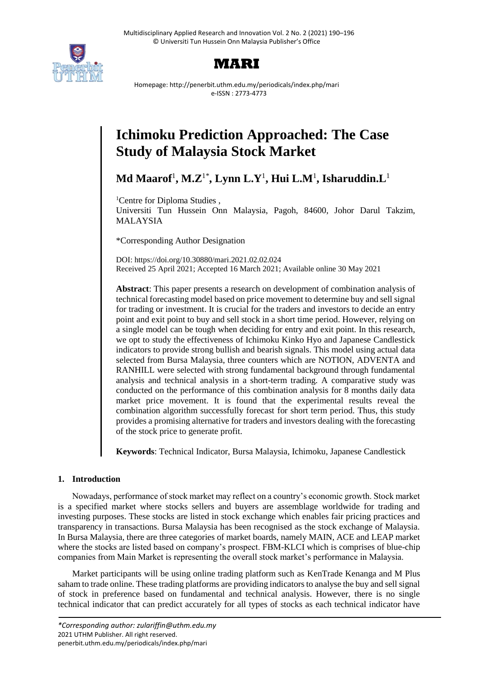



Homepage: http://penerbit.uthm.edu.my/periodicals/index.php/mari e-ISSN : 2773-4773

## **Ichimoku Prediction Approached: The Case Study of Malaysia Stock Market**

**Md Maarof**<sup>1</sup> **, M.Z**1\* **, Lynn L.Y**<sup>1</sup> **, Hui L.M**<sup>1</sup> **, Isharuddin.L**<sup>1</sup>

<sup>1</sup>Centre for Diploma Studies,

Universiti Tun Hussein Onn Malaysia, Pagoh, 84600, Johor Darul Takzim, MALAYSIA

\*Corresponding Author Designation

DOI: https://doi.org/10.30880/mari.2021.02.02.024 Received 25 April 2021; Accepted 16 March 2021; Available online 30 May 2021

**Abstract**: This paper presents a research on development of combination analysis of technical forecasting model based on price movement to determine buy and sell signal for trading or investment. It is crucial for the traders and investors to decide an entry point and exit point to buy and sell stock in a short time period. However, relying on a single model can be tough when deciding for entry and exit point. In this research, we opt to study the effectiveness of Ichimoku Kinko Hyo and Japanese Candlestick indicators to provide strong bullish and bearish signals. This model using actual data selected from Bursa Malaysia, three counters which are NOTION, ADVENTA and RANHILL were selected with strong fundamental background through fundamental analysis and technical analysis in a short-term trading. A comparative study was conducted on the performance of this combination analysis for 8 months daily data market price movement. It is found that the experimental results reveal the combination algorithm successfully forecast for short term period. Thus, this study provides a promising alternative for traders and investors dealing with the forecasting of the stock price to generate profit.

**Keywords**: Technical Indicator, Bursa Malaysia, Ichimoku, Japanese Candlestick

### **1. Introduction**

Nowadays, performance of stock market may reflect on a country's economic growth. Stock market is a specified market where stocks sellers and buyers are assemblage worldwide for trading and investing purposes. These stocks are listed in stock exchange which enables fair pricing practices and transparency in transactions. Bursa Malaysia has been recognised as the stock exchange of Malaysia. In Bursa Malaysia, there are three categories of market boards, namely MAIN, ACE and LEAP market where the stocks are listed based on company's prospect. FBM-KLCI which is comprises of blue-chip companies from Main Market is representing the overall stock market's performance in Malaysia.

Market participants will be using online trading platform such as KenTrade Kenanga and M Plus saham to trade online. These trading platforms are providing indicators to analyse the buy and sell signal of stock in preference based on fundamental and technical analysis. However, there is no single technical indicator that can predict accurately for all types of stocks as each technical indicator have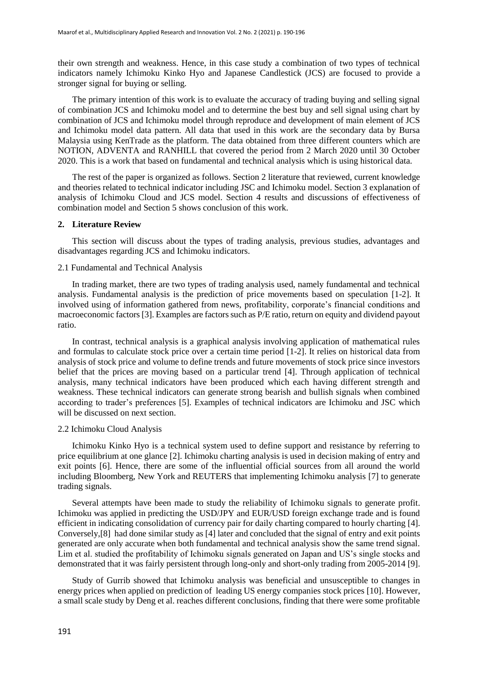their own strength and weakness. Hence, in this case study a combination of two types of technical indicators namely Ichimoku Kinko Hyo and Japanese Candlestick (JCS) are focused to provide a stronger signal for buying or selling.

The primary intention of this work is to evaluate the accuracy of trading buying and selling signal of combination JCS and Ichimoku model and to determine the best buy and sell signal using chart by combination of JCS and Ichimoku model through reproduce and development of main element of JCS and Ichimoku model data pattern. All data that used in this work are the secondary data by Bursa Malaysia using KenTrade as the platform. The data obtained from three different counters which are NOTION, ADVENTA and RANHILL that covered the period from 2 March 2020 until 30 October 2020. This is a work that based on fundamental and technical analysis which is using historical data.

The rest of the paper is organized as follows. Section 2 literature that reviewed, current knowledge and theories related to technical indicator including JSC and Ichimoku model. Section 3 explanation of analysis of Ichimoku Cloud and JCS model. Section 4 results and discussions of effectiveness of combination model and Section 5 shows conclusion of this work.

#### **2. Literature Review**

This section will discuss about the types of trading analysis, previous studies, advantages and disadvantages regarding JCS and Ichimoku indicators.

#### 2.1 Fundamental and Technical Analysis

In trading market, there are two types of trading analysis used, namely fundamental and technical analysis. Fundamental analysis is the prediction of price movements based on speculation [1-2]. It involved using of information gathered from news, profitability, corporate's financial conditions and macroeconomic factors [3]. Examples are factors such as P/E ratio, return on equity and dividend payout ratio.

In contrast, technical analysis is a graphical analysis involving application of mathematical rules and formulas to calculate stock price over a certain time period [1-2]. It relies on historical data from analysis of stock price and volume to define trends and future movements of stock price since investors belief that the prices are moving based on a particular trend [4]. Through application of technical analysis, many technical indicators have been produced which each having different strength and weakness. These technical indicators can generate strong bearish and bullish signals when combined according to trader's preferences [5]. Examples of technical indicators are Ichimoku and JSC which will be discussed on next section.

#### 2.2 Ichimoku Cloud Analysis

Ichimoku Kinko Hyo is a technical system used to define support and resistance by referring to price equilibrium at one glance [2]. Ichimoku charting analysis is used in decision making of entry and exit points [6]. Hence, there are some of the influential official sources from all around the world including Bloomberg, New York and REUTERS that implementing Ichimoku analysis [7] to generate trading signals.

Several attempts have been made to study the reliability of Ichimoku signals to generate profit. Ichimoku was applied in predicting the USD/JPY and EUR/USD foreign exchange trade and is found efficient in indicating consolidation of currency pair for daily charting compared to hourly charting [4]. Conversely,[8] had done similar study as [4] later and concluded that the signal of entry and exit points generated are only accurate when both fundamental and technical analysis show the same trend signal. Lim et al. studied the profitability of Ichimoku signals generated on Japan and US's single stocks and demonstrated that it was fairly persistent through long-only and short-only trading from 2005-2014 [9].

Study of Gurrib showed that Ichimoku analysis was beneficial and unsusceptible to changes in energy prices when applied on prediction of leading US energy companies stock prices [10]. However, a small scale study by Deng et al. reaches different conclusions, finding that there were some profitable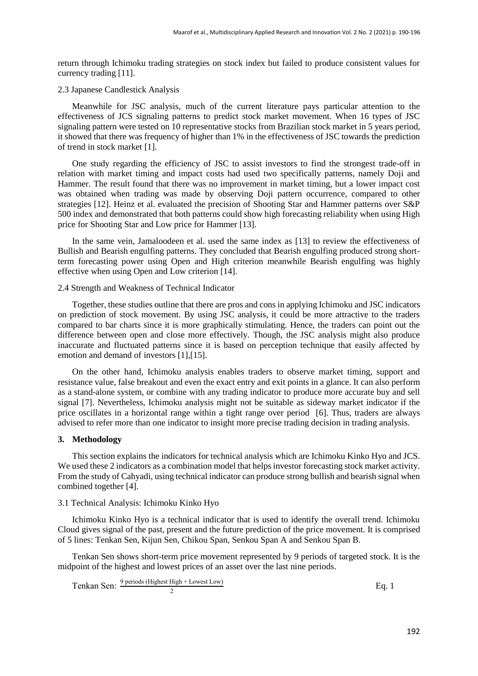return through Ichimoku trading strategies on stock index but failed to produce consistent values for currency trading [11].

#### 2.3 Japanese Candlestick Analysis

Meanwhile for JSC analysis, much of the current literature pays particular attention to the effectiveness of JCS signaling patterns to predict stock market movement. When 16 types of JSC signaling pattern were tested on 10 representative stocks from Brazilian stock market in 5 years period, it showed that there was frequency of higher than 1% in the effectiveness of JSC towards the prediction of trend in stock market [1].

One study regarding the efficiency of JSC to assist investors to find the strongest trade-off in relation with market timing and impact costs had used two specifically patterns, namely Doji and Hammer. The result found that there was no improvement in market timing, but a lower impact cost was obtained when trading was made by observing Doji pattern occurrence, compared to other strategies [12]. Heinz et al. evaluated the precision of Shooting Star and Hammer patterns over S&P 500 index and demonstrated that both patterns could show high forecasting reliability when using High price for Shooting Star and Low price for Hammer [13].

In the same vein, Jamaloodeen et al. used the same index as [13] to review the effectiveness of Bullish and Bearish engulfing patterns. They concluded that Bearish engulfing produced strong shortterm forecasting power using Open and High criterion meanwhile Bearish engulfing was highly effective when using Open and Low criterion [14].

#### 2.4 Strength and Weakness of Technical Indicator

Together, these studies outline that there are pros and cons in applying Ichimoku and JSC indicators on prediction of stock movement. By using JSC analysis, it could be more attractive to the traders compared to bar charts since it is more graphically stimulating. Hence, the traders can point out the difference between open and close more effectively. Though, the JSC analysis might also produce inaccurate and fluctuated patterns since it is based on perception technique that easily affected by emotion and demand of investors [1],[15].

On the other hand, Ichimoku analysis enables traders to observe market timing, support and resistance value, false breakout and even the exact entry and exit points in a glance. It can also perform as a stand-alone system, or combine with any trading indicator to produce more accurate buy and sell signal [7]. Nevertheless, Ichimoku analysis might not be suitable as sideway market indicator if the price oscillates in a horizontal range within a tight range over period [6]. Thus, traders are always advised to refer more than one indicator to insight more precise trading decision in trading analysis.

#### **3. Methodology**

This section explains the indicators for technical analysis which are Ichimoku Kinko Hyo and JCS. We used these 2 indicators as a combination model that helps investor forecasting stock market activity. From the study of Cahyadi, using technical indicator can produce strong bullish and bearish signal when combined together [4].

#### 3.1 Technical Analysis: Ichimoku Kinko Hyo

Ichimoku Kinko Hyo is a technical indicator that is used to identify the overall trend. Ichimoku Cloud gives signal of the past, present and the future prediction of the price movement. It is comprised of 5 lines: Tenkan Sen, Kijun Sen, Chikou Span, Senkou Span A and Senkou Span B.

Tenkan Sen shows short-term price movement represented by 9 periods of targeted stock. It is the midpoint of the highest and lowest prices of an asset over the last nine periods.

$$
Tenkan Sen: \frac{9 \text{ periods (Highest High + Lowest Low)}}{2}
$$
 Eq. 1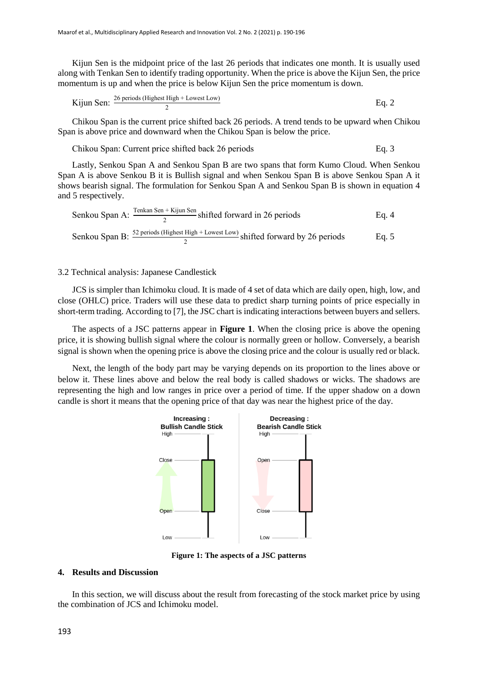Kijun Sen is the midpoint price of the last 26 periods that indicates one month. It is usually used along with Tenkan Sen to identify trading opportunity. When the price is above the Kijun Sen, the price momentum is up and when the price is below Kijun Sen the price momentum is down.

Kijun Sen: 
$$
\frac{26 \text{ periods (Highest High + lowest Low)}}{2}
$$
 Eq. 2

Chikou Span is the current price shifted back 26 periods. A trend tends to be upward when Chikou Span is above price and downward when the Chikou Span is below the price.

Chikou Span: Current price shifted back 26 periods Eq. 3

Lastly, Senkou Span A and Senkou Span B are two spans that form Kumo Cloud. When Senkou Span A is above Senkou B it is Bullish signal and when Senkou Span B is above Senkou Span A it shows bearish signal. The formulation for Senkou Span A and Senkou Span B is shown in equation 4 and 5 respectively.

Senkou Span A: 
$$
\frac{\text{Tenkan Sen} + \text{Kijun Sen}}{2} \text{shifted forward in 26 periods}
$$
 Eq. 4  
Senkou Span B: 
$$
\frac{52 \text{ periods}}{2} (\text{Higher High} + \text{Lowest Low}) \text{shifted forward by 26 periods}
$$
 Eq. 5

#### 3.2 Technical analysis: Japanese Candlestick

JCS is simpler than Ichimoku cloud. It is made of 4 set of data which are daily open, high, low, and close (OHLC) price. Traders will use these data to predict sharp turning points of price especially in short-term trading. According to [7], the JSC chart is indicating interactions between buyers and sellers.

The aspects of a JSC patterns appear in **Figure 1**. When the closing price is above the opening price, it is showing bullish signal where the colour is normally green or hollow. Conversely, a bearish signal is shown when the opening price is above the closing price and the colour is usually red or black.

Next, the length of the body part may be varying depends on its proportion to the lines above or below it. These lines above and below the real body is called shadows or wicks. The shadows are representing the high and low ranges in price over a period of time. If the upper shadow on a down candle is short it means that the opening price of that day was near the highest price of the day.



**Figure 1: The aspects of a JSC patterns**

#### **4. Results and Discussion**

In this section, we will discuss about the result from forecasting of the stock market price by using the combination of JCS and Ichimoku model.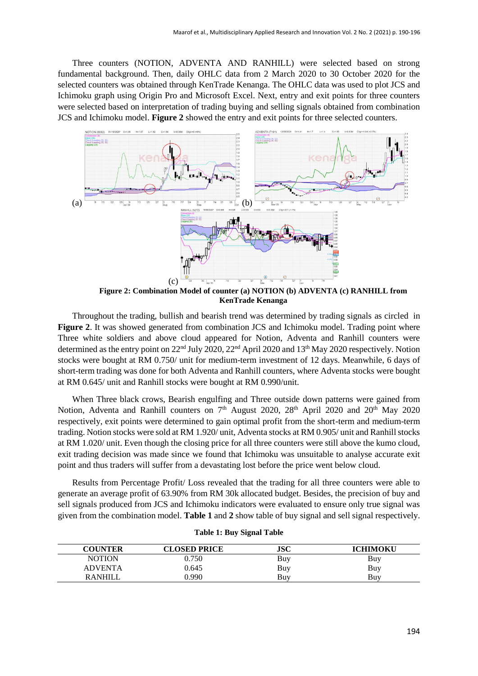Three counters (NOTION, ADVENTA AND RANHILL) were selected based on strong fundamental background. Then, daily OHLC data from 2 March 2020 to 30 October 2020 for the selected counters was obtained through KenTrade Kenanga. The OHLC data was used to plot JCS and Ichimoku graph using Origin Pro and Microsoft Excel. Next, entry and exit points for three counters were selected based on interpretation of trading buying and selling signals obtained from combination JCS and Ichimoku model. **Figure 2** showed the entry and exit points for three selected counters.



**Figure 2: Combination Model of counter (a) NOTION (b) ADVENTA (c) RANHILL from KenTrade Kenanga**

Throughout the trading, bullish and bearish trend was determined by trading signals as circled in **Figure 2.** It was showed generated from combination JCS and Ichimoku model. Trading point where Three white soldiers and above cloud appeared for Notion, Adventa and Ranhill counters were determined as the entry point on 22<sup>nd</sup> July 2020, 22<sup>nd</sup> April 2020 and 13<sup>th</sup> May 2020 respectively. Notion stocks were bought at RM 0.750/ unit for medium-term investment of 12 days. Meanwhile, 6 days of short-term trading was done for both Adventa and Ranhill counters, where Adventa stocks were bought at RM 0.645/ unit and Ranhill stocks were bought at RM 0.990/unit.

When Three black crows, Bearish engulfing and Three outside down patterns were gained from Notion, Adventa and Ranhill counters on 7<sup>th</sup> August 2020, 28<sup>th</sup> April 2020 and 20<sup>th</sup> May 2020 respectively, exit points were determined to gain optimal profit from the short-term and medium-term trading. Notion stocks were sold at RM 1.920/ unit, Adventa stocks at RM 0.905/ unit and Ranhill stocks at RM 1.020/ unit. Even though the closing price for all three counters were still above the kumo cloud, exit trading decision was made since we found that Ichimoku was unsuitable to analyse accurate exit point and thus traders will suffer from a devastating lost before the price went below cloud.

Results from Percentage Profit/ Loss revealed that the trading for all three counters were able to generate an average profit of 63.90% from RM 30k allocated budget. Besides, the precision of buy and sell signals produced from JCS and Ichimoku indicators were evaluated to ensure only true signal was given from the combination model. **Table 1** and **2** show table of buy signal and sell signal respectively.

| <b>COUNTER</b> | <b>CLOSED PRICE</b> | <b>JSC</b> | ICHIMOKU |
|----------------|---------------------|------------|----------|
| <b>NOTION</b>  | 9.750               | Buy        | Buy      |
| <b>ADVENTA</b> | 0.645               | Buy        | Buy      |
| <b>RANHILL</b> | ).990               | Buy        | Buv      |

#### **Table 1: Buy Signal Table**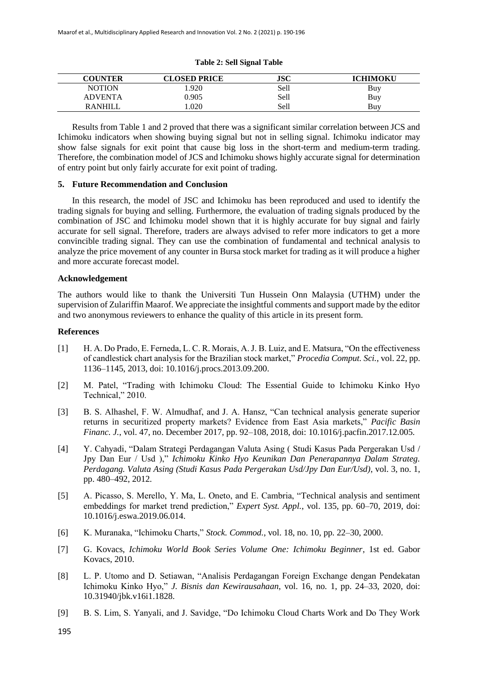# **Table 2: Sell Signal Table**

| <b>COUNTER</b> | <b>CLOSED PRICE</b> | JSC  | <b>ICHIMOKU</b> |
|----------------|---------------------|------|-----------------|
| <b>NOTION</b>  | .920                | Sell | Buy             |
| ADVENTA        | 0.905               | Sell | Buy             |
| <b>RANHILL</b> | .020                | Sell | Buv             |

Results from Table 1 and 2 proved that there was a significant similar correlation between JCS and Ichimoku indicators when showing buying signal but not in selling signal. Ichimoku indicator may show false signals for exit point that cause big loss in the short-term and medium-term trading. Therefore, the combination model of JCS and Ichimoku shows highly accurate signal for determination of entry point but only fairly accurate for exit point of trading.

#### **5. Future Recommendation and Conclusion**

In this research, the model of JSC and Ichimoku has been reproduced and used to identify the trading signals for buying and selling. Furthermore, the evaluation of trading signals produced by the combination of JSC and Ichimoku model shown that it is highly accurate for buy signal and fairly accurate for sell signal. Therefore, traders are always advised to refer more indicators to get a more convincible trading signal. They can use the combination of fundamental and technical analysis to analyze the price movement of any counter in Bursa stock market for trading as it will produce a higher and more accurate forecast model.

#### **Acknowledgement**

The authors would like to thank the Universiti Tun Hussein Onn Malaysia (UTHM) under the supervision of Zulariffin Maarof. We appreciate the insightful comments and support made by the editor and two anonymous reviewers to enhance the quality of this article in its present form.

#### **References**

- [1] H. A. Do Prado, E. Ferneda, L. C. R. Morais, A. J. B. Luiz, and E. Matsura, "On the effectiveness of candlestick chart analysis for the Brazilian stock market," *Procedia Comput. Sci.*, vol. 22, pp. 1136–1145, 2013, doi: 10.1016/j.procs.2013.09.200.
- [2] M. Patel, "Trading with Ichimoku Cloud: The Essential Guide to Ichimoku Kinko Hyo Technical," 2010.
- [3] B. S. Alhashel, F. W. Almudhaf, and J. A. Hansz, "Can technical analysis generate superior returns in securitized property markets? Evidence from East Asia markets," *Pacific Basin Financ. J.*, vol. 47, no. December 2017, pp. 92–108, 2018, doi: 10.1016/j.pacfin.2017.12.005.
- [4] Y. Cahyadi, "Dalam Strategi Perdagangan Valuta Asing ( Studi Kasus Pada Pergerakan Usd / Jpy Dan Eur / Usd )," *Ichimoku Kinko Hyo Keunikan Dan Penerapannya Dalam Strateg. Perdagang. Valuta Asing (Studi Kasus Pada Pergerakan Usd/Jpy Dan Eur/Usd)*, vol. 3, no. 1, pp. 480–492, 2012.
- [5] A. Picasso, S. Merello, Y. Ma, L. Oneto, and E. Cambria, "Technical analysis and sentiment embeddings for market trend prediction," *Expert Syst. Appl.*, vol. 135, pp. 60–70, 2019, doi: 10.1016/j.eswa.2019.06.014.
- [6] K. Muranaka, "Ichimoku Charts," *Stock. Commod.*, vol. 18, no. 10, pp. 22–30, 2000.
- [7] G. Kovacs, *Ichimoku World Book Series Volume One: Ichimoku Beginner*, 1st ed. Gabor Kovacs, 2010.
- [8] L. P. Utomo and D. Setiawan, "Analisis Perdagangan Foreign Exchange dengan Pendekatan Ichimoku Kinko Hyo," *J. Bisnis dan Kewirausahaan*, vol. 16, no. 1, pp. 24–33, 2020, doi: 10.31940/jbk.v16i1.1828.
- [9] B. S. Lim, S. Yanyali, and J. Savidge, "Do Ichimoku Cloud Charts Work and Do They Work